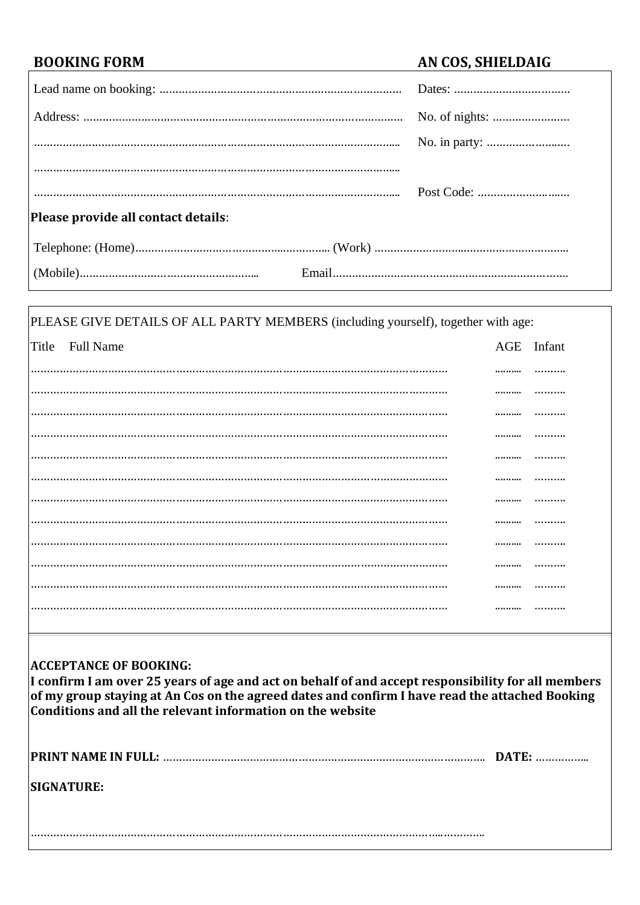$\overline{1}$ 

# **BOOKING FORM AN COS, SHIELDAIG**

| Please provide all contact details: |  |
|-------------------------------------|--|
|                                     |  |
|                                     |  |

| PLEASE GIVE DETAILS OF ALL PARTY MEMBERS (including yourself), together with age: |                 |            |  |  |
|-----------------------------------------------------------------------------------|-----------------|------------|--|--|
|                                                                                   | Title Full Name | AGE Infant |  |  |
|                                                                                   |                 |            |  |  |
|                                                                                   |                 |            |  |  |
|                                                                                   |                 |            |  |  |
|                                                                                   |                 |            |  |  |
|                                                                                   |                 |            |  |  |
|                                                                                   |                 |            |  |  |
|                                                                                   |                 |            |  |  |
|                                                                                   |                 |            |  |  |
|                                                                                   |                 | <br>       |  |  |
|                                                                                   |                 |            |  |  |
|                                                                                   |                 |            |  |  |
|                                                                                   |                 |            |  |  |

### **ACCEPTANCE OF BOOKING:**

**I confirm I am over 25 years of age and act on behalf of and accept responsibility for all members of my group staying at An Cos on the agreed dates and confirm I have read the attached Booking Conditions and all the relevant information on the website** 

| <b>SIGNATURE:</b> |  |
|-------------------|--|
|                   |  |
|                   |  |